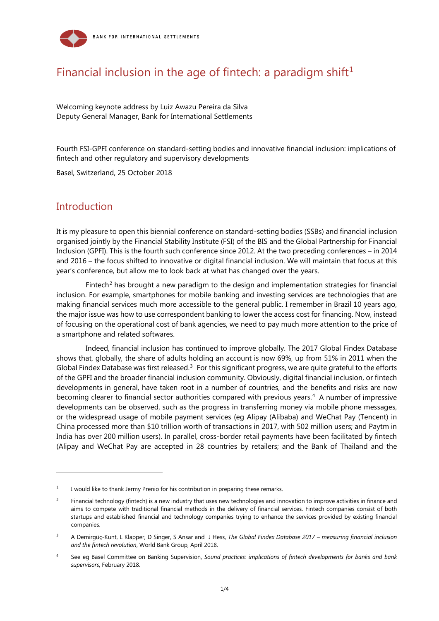

# Financial inclusion in the age of fintech: a paradigm shift<sup>[1](#page-0-0)</sup>

Welcoming keynote address by Luiz Awazu Pereira da Silva Deputy General Manager, Bank for International Settlements

Fourth FSI-GPFI conference on standard-setting bodies and innovative financial inclusion: implications of fintech and other regulatory and supervisory developments

Basel, Switzerland, 25 October 2018

#### **Introduction**

-

It is my pleasure to open this biennial conference on standard-setting bodies (SSBs) and financial inclusion organised jointly by the Financial Stability Institute (FSI) of the BIS and the Global Partnership for Financial Inclusion (GPFI). This is the fourth such conference since 2012. At the two preceding conferences – in 2014 and 2016 – the focus shifted to innovative or digital financial inclusion. We will maintain that focus at this year's conference, but allow me to look back at what has changed over the years.

Fintech<sup>[2](#page-0-1)</sup> has brought a new paradigm to the design and implementation strategies for financial inclusion. For example, smartphones for mobile banking and investing services are technologies that are making financial services much more accessible to the general public. I remember in Brazil 10 years ago, the major issue was how to use correspondent banking to lower the access cost for financing. Now, instead of focusing on the operational cost of bank agencies, we need to pay much more attention to the price of a smartphone and related softwares.

Indeed, financial inclusion has continued to improve globally. The 2017 Global Findex Database shows that, globally, the share of adults holding an account is now 69%, up from 51% in 2011 when the Global Findex Database was first released.<sup>[3](#page-0-2)</sup> For this significant progress, we are quite grateful to the efforts of the GPFI and the broader financial inclusion community. Obviously, digital financial inclusion, or fintech developments in general, have taken root in a number of countries, and the benefits and risks are now becoming clearer to financial sector authorities compared with previous years. [4](#page-0-3) A number of impressive developments can be observed, such as the progress in transferring money via mobile phone messages, or the widespread usage of mobile payment services (eg Alipay (Alibaba) and WeChat Pay (Tencent) in China processed more than \$10 trillion worth of transactions in 2017, with 502 million users; and Paytm in India has over 200 million users). In parallel, cross-border retail payments have been facilitated by fintech (Alipay and WeChat Pay are accepted in 28 countries by retailers; and the Bank of Thailand and the

<span id="page-0-0"></span> $1$  I would like to thank Jermy Prenio for his contribution in preparing these remarks.

<span id="page-0-1"></span> $2^2$  Financial technology (fintech) is a new industry that uses new technologies and innovation to improve activities in finance and aims to compete with traditional financial methods in the delivery of financial services. Fintech companies consist of both startups and established financial and technology companies trying to enhance the services provided by existing financial companies.

<span id="page-0-2"></span><sup>3</sup> A Demirgüç-Kunt, L Klapper, D Singer, S Ansar and J Hess, *The Global Findex Database 2017 – measuring financial inclusion and the fintech revolution*, World Bank Group, April 2018.

<span id="page-0-3"></span><sup>4</sup> See eg Basel Committee on Banking Supervision, *Sound practices: implications of fintech developments for banks and bank supervisors*, February 2018.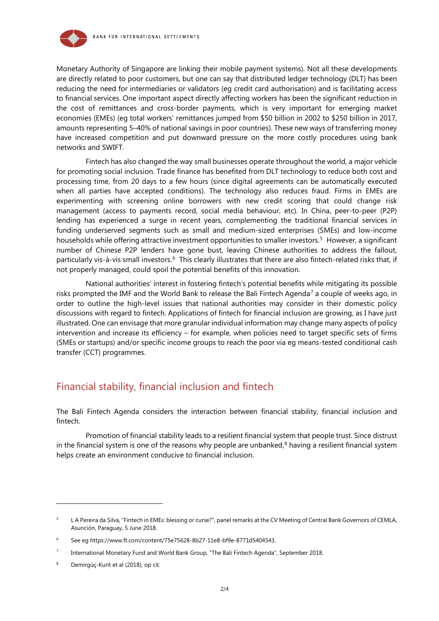

Monetary Authority of Singapore are linking their mobile payment systems). Not all these developments are directly related to poor customers, but one can say that distributed ledger technology (DLT) has been reducing the need for intermediaries or validators (eg credit card authorisation) and is facilitating access to financial services. One important aspect directly affecting workers has been the significant reduction in the cost of remittances and cross-border payments, which is very important for emerging market economies (EMEs) (eg total workers' remittances jumped from \$50 billion in 2002 to \$250 billion in 2017, amounts representing 5–40% of national savings in poor countries). These new ways of transferring money have increased competition and put downward pressure on the more costly procedures using bank networks and SWIFT.

Fintech has also changed the way small businesses operate throughout the world, a major vehicle for promoting social inclusion. Trade finance has benefited from DLT technology to reduce both cost and processing time, from 20 days to a few hours (since digital agreements can be automatically executed when all parties have accepted conditions). The technology also reduces fraud. Firms in EMEs are experimenting with screening online borrowers with new credit scoring that could change risk management (access to payments record, social media behaviour, etc). In China, peer-to-peer (P2P) lending has experienced a surge in recent years, complementing the traditional financial services in funding underserved segments such as small and medium-sized enterprises (SMEs) and low-income households while offering attractive investment opportunities to smaller investors. [5](#page-1-0) However, a significant number of Chinese P2P lenders have gone bust, leaving Chinese authorities to address the fallout, particularly vis-à-vis small investors.<sup>6</sup> This clearly illustrates that there are also fintech-related risks that, if not properly managed, could spoil the potential benefits of this innovation.

National authorities' interest in fostering fintech's potential benefits while mitigating its possible risks prompted the IMF and the World Bank to release the Bali Fintech Agenda<sup>[7](#page-1-2)</sup> a couple of weeks ago, in order to outline the high-level issues that national authorities may consider in their domestic policy discussions with regard to fintech. Applications of fintech for financial inclusion are growing, as I have just illustrated. One can envisage that more granular individual information may change many aspects of policy intervention and increase its efficiency – for example, when policies need to target specific sets of firms (SMEs or startups) and/or specific income groups to reach the poor via eg means-tested conditional cash transfer (CCT) programmes.

## Financial stability, financial inclusion and fintech

The Bali Fintech Agenda considers the interaction between financial stability, financial inclusion and fintech.

Promotion of financial stability leads to a resilient financial system that people trust. Since distrust in the financial system is one of the reasons why people are unbanked,<sup>[8](#page-1-3)</sup> having a resilient financial system helps create an environment conducive to financial inclusion.

-

<span id="page-1-0"></span><sup>&</sup>lt;sup>5</sup> L A Pereira da Silva, "Fintech in EMEs: blessing or curse?", panel remarks at the CV Meeting of Central Bank Governors of CEMLA, Asunción, Paraguay, 5 June 2018.

<span id="page-1-1"></span><sup>6</sup> See eg [https://www.ft.com/content/75e75628-8b27-11e8-bf9e-8771d5404543.](https://www.ft.com/content/75e75628-8b27-11e8-bf9e-8771d5404543)

<span id="page-1-2"></span><sup>7</sup> International Monetary Fund and World Bank Group, "The Bali Fintech Agenda", September 2018.

<span id="page-1-3"></span><sup>&</sup>lt;sup>8</sup> Demirgüç-Kunt et al (2018), op cit.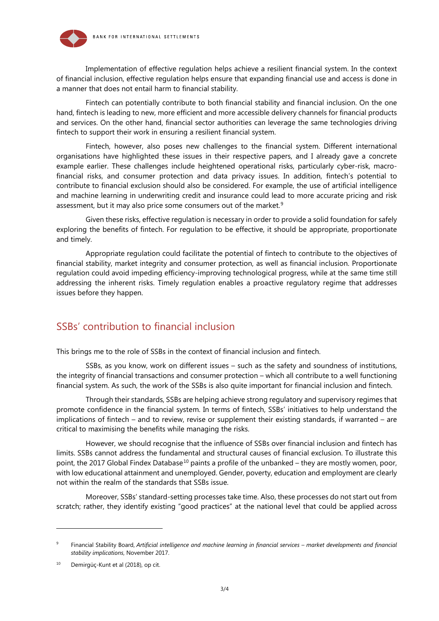

Implementation of effective regulation helps achieve a resilient financial system. In the context of financial inclusion, effective regulation helps ensure that expanding financial use and access is done in a manner that does not entail harm to financial stability.

Fintech can potentially contribute to both financial stability and financial inclusion. On the one hand, fintech is leading to new, more efficient and more accessible delivery channels for financial products and services. On the other hand, financial sector authorities can leverage the same technologies driving fintech to support their work in ensuring a resilient financial system.

Fintech, however, also poses new challenges to the financial system. Different international organisations have highlighted these issues in their respective papers, and I already gave a concrete example earlier. These challenges include heightened operational risks, particularly cyber-risk, macrofinancial risks, and consumer protection and data privacy issues. In addition, fintech's potential to contribute to financial exclusion should also be considered. For example, the use of artificial intelligence and machine learning in underwriting credit and insurance could lead to more accurate pricing and risk assessment, but it may also price some consumers out of the market.<sup>[9](#page-2-0)</sup>

Given these risks, effective regulation is necessary in order to provide a solid foundation for safely exploring the benefits of fintech. For regulation to be effective, it should be appropriate, proportionate and timely.

Appropriate regulation could facilitate the potential of fintech to contribute to the objectives of financial stability, market integrity and consumer protection, as well as financial inclusion. Proportionate regulation could avoid impeding efficiency-improving technological progress, while at the same time still addressing the inherent risks. Timely regulation enables a proactive regulatory regime that addresses issues before they happen.

### SSBs' contribution to financial inclusion

This brings me to the role of SSBs in the context of financial inclusion and fintech.

SSBs, as you know, work on different issues – such as the safety and soundness of institutions, the integrity of financial transactions and consumer protection – which all contribute to a well functioning financial system. As such, the work of the SSBs is also quite important for financial inclusion and fintech.

Through their standards, SSBs are helping achieve strong regulatory and supervisory regimes that promote confidence in the financial system. In terms of fintech, SSBs' initiatives to help understand the implications of fintech – and to review, revise or supplement their existing standards, if warranted – are critical to maximising the benefits while managing the risks.

However, we should recognise that the influence of SSBs over financial inclusion and fintech has limits. SSBs cannot address the fundamental and structural causes of financial exclusion. To illustrate this point, the 2017 Global Findex Database<sup>[10](#page-2-1)</sup> paints a profile of the unbanked – they are mostly women, poor, with low educational attainment and unemployed. Gender, poverty, education and employment are clearly not within the realm of the standards that SSBs issue.

Moreover, SSBs' standard-setting processes take time. Also, these processes do not start out from scratch; rather, they identify existing "good practices" at the national level that could be applied across

1

<span id="page-2-0"></span><sup>9</sup> Financial Stability Board, *Artificial intelligence and machine learning in financial services – market developments and financial stability implications*, November 2017.

<span id="page-2-1"></span><sup>&</sup>lt;sup>10</sup> Demirgüç-Kunt et al (2018), op cit.